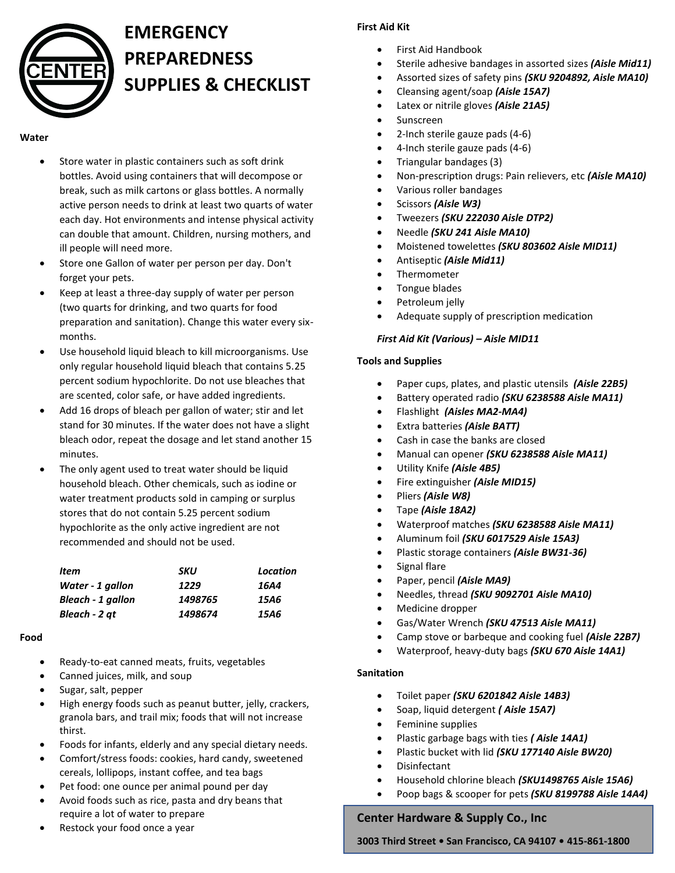

### **EMERGENCY PREPAREDNESS SUPPLIES & CHECKLIST**

#### **Water**

- Store water in plastic containers such as soft drink bottles. Avoid using containers that will decompose or break, such as milk cartons or glass bottles. A normally active person needs to drink at least two quarts of water each day. Hot environments and intense physical activity can double that amount. Children, nursing mothers, and ill people will need more.
- Store one Gallon of water per person per day. Don't forget your pets.
- Keep at least a three-day supply of water per person (two quarts for drinking, and two quarts for food preparation and sanitation). Change this water every sixmonths.
- Use household liquid bleach to kill microorganisms. Use only regular household liquid bleach that contains 5.25 percent sodium hypochlorite. Do not use bleaches that are scented, color safe, or have added ingredients.
- Add 16 drops of bleach per gallon of water; stir and let stand for 30 minutes. If the water does not have a slight bleach odor, repeat the dosage and let stand another 15 minutes.
- The only agent used to treat water should be liquid household bleach. Other chemicals, such as iodine or water treatment products sold in camping or surplus stores that do not contain 5.25 percent sodium hypochlorite as the only active ingredient are not recommended and should not be used.

| Item                     | SKU     | Location |
|--------------------------|---------|----------|
| Water - 1 gallon         | 1229    | 16A4     |
| <b>Bleach - 1 gallon</b> | 1498765 | 15A6     |
| Bleach - 2 at            | 1498674 | 15A6     |

#### **Food**

- Ready-to-eat canned meats, fruits, vegetables
- Canned juices, milk, and soup
- Sugar, salt, pepper
- High energy foods such as peanut butter, jelly, crackers, granola bars, and trail mix; foods that will not increase thirst.
- Foods for infants, elderly and any special dietary needs.
- Comfort/stress foods: cookies, hard candy, sweetened cereals, lollipops, instant coffee, and tea bags
- Pet food: one ounce per animal pound per day
- Avoid foods such as rice, pasta and dry beans that require a lot of water to prepare
- Restock your food once a year

#### **First Aid Kit**

- First Aid Handbook
- Sterile adhesive bandages in assorted sizes *(Aisle Mid11)*
- Assorted sizes of safety pins *(SKU 9204892, Aisle MA10)*
- Cleansing agent/soap *(Aisle 15A7)*
- Latex or nitrile gloves *(Aisle 21A5)*
- Sunscreen
- 2-Inch sterile gauze pads (4-6)
- 4-Inch sterile gauze pads (4-6)
- Triangular bandages (3)
- Non-prescription drugs: Pain relievers, etc *(Aisle MA10)*
- Various roller bandages
- Scissors *(Aisle W3)*
- Tweezers *(SKU 222030 Aisle DTP2)*
- Needle *(SKU 241 Aisle MA10)*
- Moistened towelettes *(SKU 803602 Aisle MID11)*
- Antiseptic *(Aisle Mid11)*
- Thermometer
- Tongue blades
- Petroleum jelly
- Adequate supply of prescription medication

#### *First Aid Kit (Various) – Aisle MID11*

#### **Tools and Supplies**

- Paper cups, plates, and plastic utensils *(Aisle 22B5)*
- Battery operated radio *(SKU 6238588 Aisle MA11)*
- Flashlight *(Aisles MA2-MA4)*
- Extra batteries *(Aisle BATT)*
- Cash in case the banks are closed
- Manual can opener *(SKU 6238588 Aisle MA11)*
- Utility Knife *(Aisle 4B5)*
- Fire extinguisher *(Aisle MID15)*
- Pliers *(Aisle W8)*
- Tape *(Aisle 18A2)*
- Waterproof matches *(SKU 6238588 Aisle MA11)*
- Aluminum foil *(SKU 6017529 Aisle 15A3)*
- Plastic storage containers *(Aisle BW31-36)*
- Signal flare
- Paper, pencil *(Aisle MA9)*
- Needles, thread *(SKU 9092701 Aisle MA10)*
- Medicine dropper
- Gas/Water Wrench *(SKU 47513 Aisle MA11)*
- Camp stove or barbeque and cooking fuel *(Aisle 22B7)*
- Waterproof, heavy-duty bags *(SKU 670 Aisle 14A1)*

#### **Sanitation**

- Toilet paper *(SKU 6201842 Aisle 14B3)*
- Soap, liquid detergent *( Aisle 15A7)*
- Feminine supplies
- Plastic garbage bags with ties *( Aisle 14A1)*
- Plastic bucket with lid *(SKU 177140 Aisle BW20)*
- Disinfectant
- Household chlorine bleach *(SKU1498765 Aisle 15A6)*
- Poop bags & scooper for pets *(SKU 8199788 Aisle 14A4)*

#### **Center Hardware & Supply Co., Inc**

**3003 Third Street • San Francisco, CA 94107 • 415-861-1800**